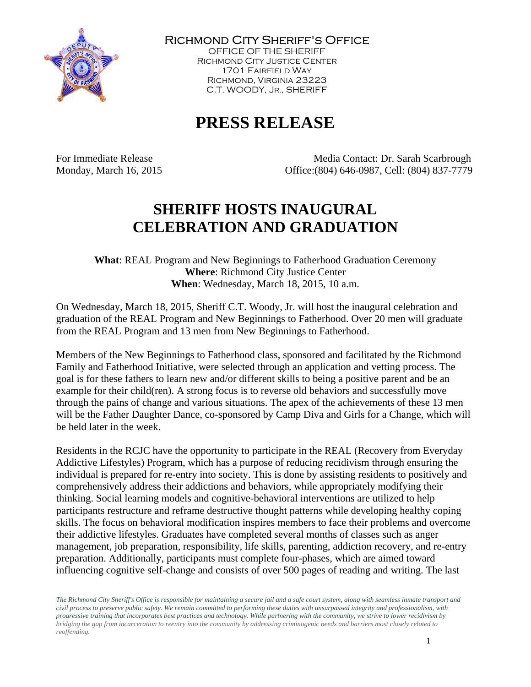

Richmond City Sheriff's Office

OFFICE OF THE SHERIFF Richmond City Justice Center 1701 Fairfield Way Richmond, Virginia 23223 C.T. WOODY, JR., SHERIFF

## **PRESS RELEASE**

For Immediate Release Media Contact: Dr. Sarah Scarbrough Monday, March 16, 2015 Office:(804) 646-0987, Cell: (804) 837-7779

## **SHERIFF HOSTS INAUGURAL CELEBRATION AND GRADUATION**

**What**: REAL Program and New Beginnings to Fatherhood Graduation Ceremony **Where**: Richmond City Justice Center **When**: Wednesday, March 18, 2015, 10 a.m.

On Wednesday, March 18, 2015, Sheriff C.T. Woody, Jr. will host the inaugural celebration and graduation of the REAL Program and New Beginnings to Fatherhood. Over 20 men will graduate from the REAL Program and 13 men from New Beginnings to Fatherhood.

Members of the New Beginnings to Fatherhood class, sponsored and facilitated by the Richmond Family and Fatherhood Initiative, were selected through an application and vetting process. The goal is for these fathers to learn new and/or different skills to being a positive parent and be an example for their child(ren). A strong focus is to reverse old behaviors and successfully move through the pains of change and various situations. The apex of the achievements of these 13 men will be the Father Daughter Dance, co-sponsored by Camp Diva and Girls for a Change, which will be held later in the week.

Residents in the RCJC have the opportunity to participate in the REAL (Recovery from Everyday Addictive Lifestyles) Program, which has a purpose of reducing recidivism through ensuring the individual is prepared for re-entry into society. This is done by assisting residents to positively and comprehensively address their addictions and behaviors, while appropriately modifying their thinking. Social learning models and cognitive-behavioral interventions are utilized to help participants restructure and reframe destructive thought patterns while developing healthy coping skills. The focus on behavioral modification inspires members to face their problems and overcome their addictive lifestyles. Graduates have completed several months of classes such as anger management, job preparation, responsibility, life skills, parenting, addiction recovery, and re-entry preparation. Additionally, participants must complete four-phases, which are aimed toward influencing cognitive self-change and consists of over 500 pages of reading and writing. The last

*The Richmond City Sheriff's Office is responsible for maintaining a secure jail and a safe court system, along with seamless inmate transport and civil process to preserve public safety. We remain committed to performing these duties with unsurpassed integrity and professionalism, with progressive training that incorporates best practices and technology. While partnering with the community, we strive to lower recidivism by bridging the gap from incarceration to reentry into the community by addressing criminogenic needs and barriers most closely related to reoffending.*